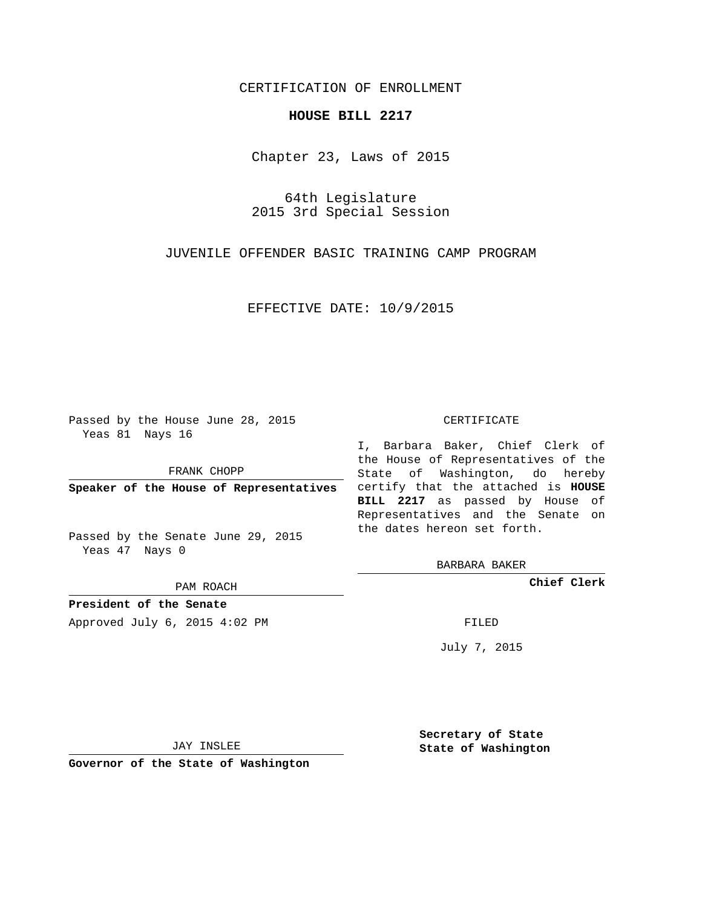## CERTIFICATION OF ENROLLMENT

## **HOUSE BILL 2217**

Chapter 23, Laws of 2015

64th Legislature 2015 3rd Special Session

JUVENILE OFFENDER BASIC TRAINING CAMP PROGRAM

EFFECTIVE DATE: 10/9/2015

Passed by the House June 28, 2015 Yeas 81 Nays 16

FRANK CHOPP

Passed by the Senate June 29, 2015 Yeas 47 Nays 0

PAM ROACH

**President of the Senate**

Approved July 6, 2015 4:02 PM FILED

## CERTIFICATE

**Speaker of the House of Representatives** certify that the attached is **HOUSE** I, Barbara Baker, Chief Clerk of the House of Representatives of the State of Washington, do hereby **BILL 2217** as passed by House of Representatives and the Senate on the dates hereon set forth.

BARBARA BAKER

**Chief Clerk**

July 7, 2015

JAY INSLEE

**Governor of the State of Washington**

**Secretary of State State of Washington**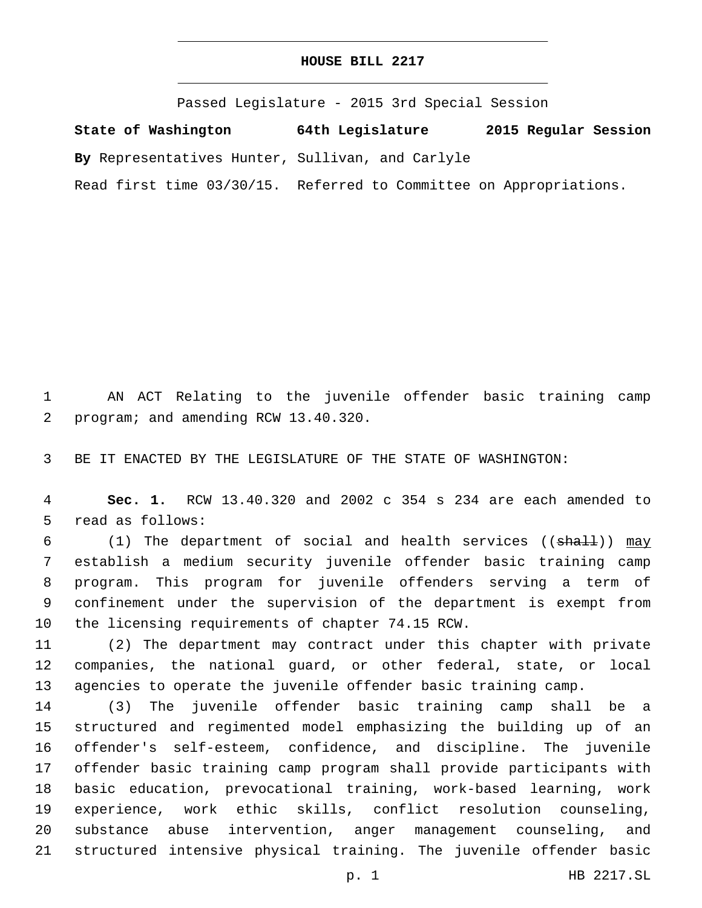Passed Legislature - 2015 3rd Special Session

**State of Washington 64th Legislature 2015 Regular Session**

**By** Representatives Hunter, Sullivan, and Carlyle

Read first time 03/30/15. Referred to Committee on Appropriations.

 AN ACT Relating to the juvenile offender basic training camp 2 program; and amending RCW 13.40.320.

BE IT ENACTED BY THE LEGISLATURE OF THE STATE OF WASHINGTON:

 **Sec. 1.** RCW 13.40.320 and 2002 c 354 s 234 are each amended to 5 read as follows:

6 (1) The department of social and health services ((shall)) may establish a medium security juvenile offender basic training camp program. This program for juvenile offenders serving a term of confinement under the supervision of the department is exempt from 10 the licensing requirements of chapter 74.15 RCW.

 (2) The department may contract under this chapter with private companies, the national guard, or other federal, state, or local agencies to operate the juvenile offender basic training camp.

 (3) The juvenile offender basic training camp shall be a structured and regimented model emphasizing the building up of an offender's self-esteem, confidence, and discipline. The juvenile offender basic training camp program shall provide participants with basic education, prevocational training, work-based learning, work experience, work ethic skills, conflict resolution counseling, substance abuse intervention, anger management counseling, and structured intensive physical training. The juvenile offender basic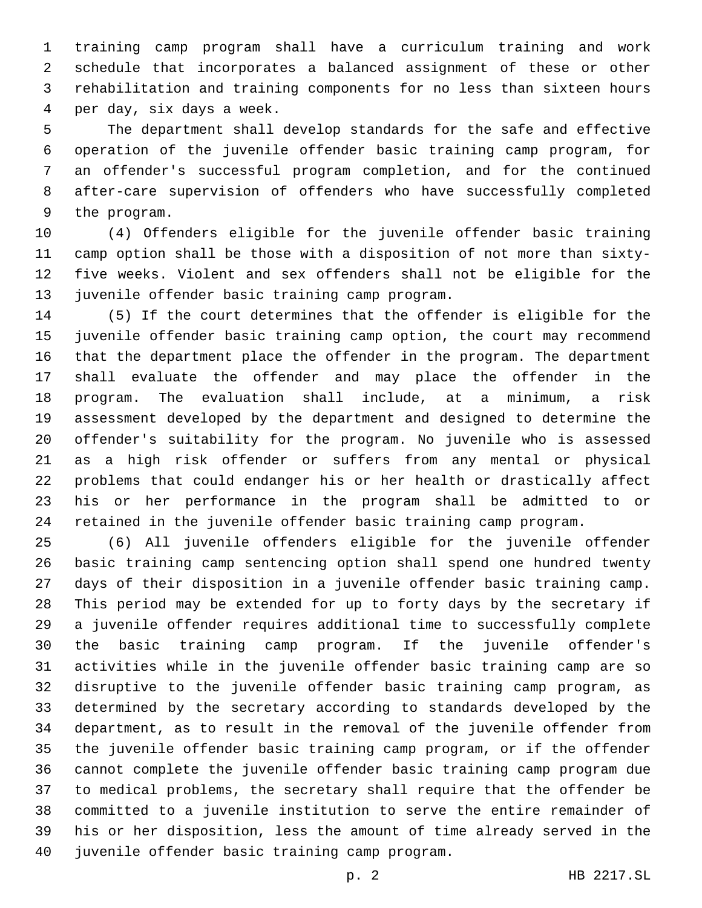training camp program shall have a curriculum training and work schedule that incorporates a balanced assignment of these or other rehabilitation and training components for no less than sixteen hours per day, six days a week.4

 The department shall develop standards for the safe and effective operation of the juvenile offender basic training camp program, for an offender's successful program completion, and for the continued after-care supervision of offenders who have successfully completed 9 the program.

 (4) Offenders eligible for the juvenile offender basic training camp option shall be those with a disposition of not more than sixty- five weeks. Violent and sex offenders shall not be eligible for the 13 juvenile offender basic training camp program.

 (5) If the court determines that the offender is eligible for the juvenile offender basic training camp option, the court may recommend that the department place the offender in the program. The department shall evaluate the offender and may place the offender in the program. The evaluation shall include, at a minimum, a risk assessment developed by the department and designed to determine the offender's suitability for the program. No juvenile who is assessed as a high risk offender or suffers from any mental or physical problems that could endanger his or her health or drastically affect his or her performance in the program shall be admitted to or retained in the juvenile offender basic training camp program.

 (6) All juvenile offenders eligible for the juvenile offender basic training camp sentencing option shall spend one hundred twenty days of their disposition in a juvenile offender basic training camp. This period may be extended for up to forty days by the secretary if a juvenile offender requires additional time to successfully complete the basic training camp program. If the juvenile offender's activities while in the juvenile offender basic training camp are so disruptive to the juvenile offender basic training camp program, as determined by the secretary according to standards developed by the department, as to result in the removal of the juvenile offender from the juvenile offender basic training camp program, or if the offender cannot complete the juvenile offender basic training camp program due to medical problems, the secretary shall require that the offender be committed to a juvenile institution to serve the entire remainder of his or her disposition, less the amount of time already served in the 40 juvenile offender basic training camp program.